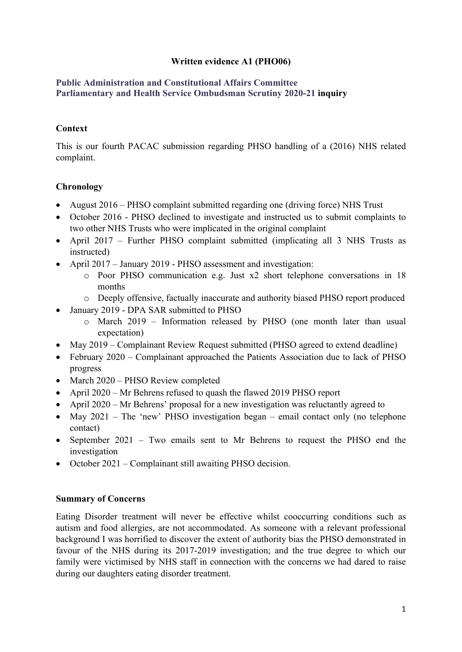## **Written evidence A1 (PHO06)**

#### **[Public](https://admin.committees.parliament.uk/Committee/Edit/327) [Administration](https://admin.committees.parliament.uk/Committee/Edit/327) [and](https://admin.committees.parliament.uk/Committee/Edit/327) [Constitutional](https://admin.committees.parliament.uk/Committee/Edit/327) [Affairs](https://admin.committees.parliament.uk/Committee/Edit/327) [Committee](https://admin.committees.parliament.uk/Committee/Edit/327) [Parliamentary](https://admin.committees.parliament.uk/Committee/327/CommitteeBusiness/Edit/1503) [and](https://admin.committees.parliament.uk/Committee/327/CommitteeBusiness/Edit/1503) [Health](https://admin.committees.parliament.uk/Committee/327/CommitteeBusiness/Edit/1503) [Service](https://admin.committees.parliament.uk/Committee/327/CommitteeBusiness/Edit/1503) [Ombudsman](https://admin.committees.parliament.uk/Committee/327/CommitteeBusiness/Edit/1503) [Scrutiny](https://admin.committees.parliament.uk/Committee/327/CommitteeBusiness/Edit/1503) [2020-21](https://admin.committees.parliament.uk/Committee/327/CommitteeBusiness/Edit/1503) inquiry**

### **Context**

This is our fourth PACAC submission regarding PHSO handling of a (2016) NHS related complaint.

## **Chronology**

- August 2016 PHSO complaint submitted regarding one (driving force) NHS Trust
- October 2016 PHSO declined to investigate and instructed us to submit complaints to two other NHS Trusts who were implicated in the original complaint
- April 2017 Further PHSO complaint submitted (implicating all 3 NHS Trusts as instructed)
- April 2017 January 2019 PHSO assessment and investigation:
	- o Poor PHSO communication e.g. Just x2 short telephone conversations in 18 months
	- o Deeply offensive, factually inaccurate and authority biased PHSO report produced
- January 2019 DPA SAR submitted to PHSO
	- o March 2019 Information released by PHSO (one month later than usual expectation)
- May 2019 Complainant Review Request submitted (PHSO agreed to extend deadline)
- February 2020 Complainant approached the Patients Association due to lack of PHSO progress
- March 2020 PHSO Review completed
- April 2020 Mr Behrens refused to quash the flawed 2019 PHSO report
- April 2020 Mr Behrens' proposal for a new investigation was reluctantly agreed to
- May  $2021$  The 'new' PHSO investigation began email contact only (no telephone contact)
- September 2021 Two emails sent to Mr Behrens to request the PHSO end the investigation
- October 2021 Complainant still awaiting PHSO decision.

#### **Summary of Concerns**

Eating Disorder treatment will never be effective whilst cooccurring conditions such as autism and food allergies, are not accommodated. As someone with a relevant professional background I was horrified to discover the extent of authority bias the PHSO demonstrated in favour of the NHS during its 2017-2019 investigation; and the true degree to which our family were victimised by NHS staff in connection with the concerns we had dared to raise during our daughters eating disorder treatment.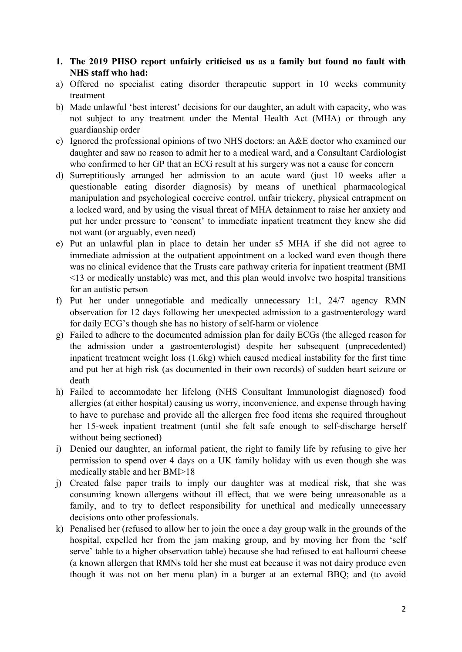- **1. The 2019 PHSO report unfairly criticised us as a family but found no fault with NHS staff who had:**
- a) Offered no specialist eating disorder therapeutic support in 10 weeks community treatment
- b) Made unlawful 'best interest' decisions for our daughter, an adult with capacity, who was not subject to any treatment under the Mental Health Act (MHA) or through any guardianship order
- c) Ignored the professional opinions of two NHS doctors: an A&E doctor who examined our daughter and saw no reason to admit her to a medical ward, and a Consultant Cardiologist who confirmed to her GP that an ECG result at his surgery was not a cause for concern
- d) Surreptitiously arranged her admission to an acute ward (just 10 weeks after a questionable eating disorder diagnosis) by means of unethical pharmacological manipulation and psychological coercive control, unfair trickery, physical entrapment on a locked ward, and by using the visual threat of MHA detainment to raise her anxiety and put her under pressure to 'consent' to immediate inpatient treatment they knew she did not want (or arguably, even need)
- e) Put an unlawful plan in place to detain her under s5 MHA if she did not agree to immediate admission at the outpatient appointment on a locked ward even though there was no clinical evidence that the Trusts care pathway criteria for inpatient treatment (BMI <13 or medically unstable) was met, and this plan would involve two hospital transitions for an autistic person
- f) Put her under unnegotiable and medically unnecessary 1:1, 24/7 agency RMN observation for 12 days following her unexpected admission to a gastroenterology ward for daily ECG's though she has no history of self-harm or violence
- g) Failed to adhere to the documented admission plan for daily ECGs (the alleged reason for the admission under a gastroenterologist) despite her subsequent (unprecedented) inpatient treatment weight loss (1.6kg) which caused medical instability for the first time and put her at high risk (as documented in their own records) of sudden heart seizure or death
- h) Failed to accommodate her lifelong (NHS Consultant Immunologist diagnosed) food allergies (at either hospital) causing us worry, inconvenience, and expense through having to have to purchase and provide all the allergen free food items she required throughout her 15-week inpatient treatment (until she felt safe enough to self-discharge herself without being sectioned)
- i) Denied our daughter, an informal patient, the right to family life by refusing to give her permission to spend over 4 days on a UK family holiday with us even though she was medically stable and her BMI>18
- j) Created false paper trails to imply our daughter was at medical risk, that she was consuming known allergens without ill effect, that we were being unreasonable as a family, and to try to deflect responsibility for unethical and medically unnecessary decisions onto other professionals.
- k) Penalised her (refused to allow her to join the once a day group walk in the grounds of the hospital, expelled her from the jam making group, and by moving her from the 'self serve' table to a higher observation table) because she had refused to eat halloumi cheese (a known allergen that RMNs told her she must eat because it was not dairy produce even though it was not on her menu plan) in a burger at an external BBQ; and (to avoid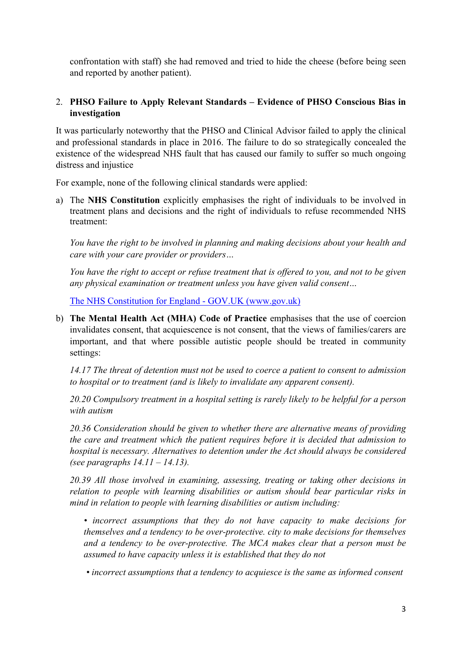confrontation with staff) she had removed and tried to hide the cheese (before being seen and reported by another patient).

## 2. **PHSO Failure to Apply Relevant Standards – Evidence of PHSO Conscious Bias in investigation**

It was particularly noteworthy that the PHSO and Clinical Advisor failed to apply the clinical and professional standards in place in 2016. The failure to do so strategically concealed the existence of the widespread NHS fault that has caused our family to suffer so much ongoing distress and injustice

For example, none of the following clinical standards were applied:

a) The **NHS Constitution** explicitly emphasises the right of individuals to be involved in treatment plans and decisions and the right of individuals to refuse recommended NHS treatment:

*You have the right to be involved in planning and making decisions about your health and care with your care provider or providers…*

You have the right to accept or refuse treatment that is offered to you, and not to be given *any physical examination or treatment unless you have given valid consent…*

[The](https://www.gov.uk/government/publications/the-nhs-constitution-for-england/the-nhs-constitution-for-england) [NHS](https://www.gov.uk/government/publications/the-nhs-constitution-for-england/the-nhs-constitution-for-england) [Constitution](https://www.gov.uk/government/publications/the-nhs-constitution-for-england/the-nhs-constitution-for-england) [for](https://www.gov.uk/government/publications/the-nhs-constitution-for-england/the-nhs-constitution-for-england) [England](https://www.gov.uk/government/publications/the-nhs-constitution-for-england/the-nhs-constitution-for-england) [-](https://www.gov.uk/government/publications/the-nhs-constitution-for-england/the-nhs-constitution-for-england) [GOV.UK](https://www.gov.uk/government/publications/the-nhs-constitution-for-england/the-nhs-constitution-for-england) [\(www.gov.uk\)](https://www.gov.uk/government/publications/the-nhs-constitution-for-england/the-nhs-constitution-for-england)

b) **The Mental Health Act (MHA) Code of Practice** emphasises that the use of coercion invalidates consent, that acquiescence is not consent, that the views of families/carers are important, and that where possible autistic people should be treated in community settings:

*14.17 The threat of detention must not be used to coerce a patient to consent to admission to hospital or to treatment (and is likely to invalidate any apparent consent).*

*20.20 Compulsory treatment in a hospital setting is rarely likely to be helpful for a person with autism*

*20.36 Consideration should be given to whether there are alternative means of providing the care and treatment which the patient requires before it is decided that admission to hospital is necessary. Alternatives to detention under the Act should always be considered (see paragraphs 14.11 – 14.13).*

*20.39 All those involved in examining, assessing, treating or taking other decisions in relation to people with learning disabilities or autism should bear particular risks in mind in relation to people with learning disabilities or autism including:*

*• incorrect assumptions that they do not have capacity to make decisions for themselves and a tendency to be over-protective. city to make decisions for themselves and a tendency to be over-protective. The MCA makes clear that a person must be assumed to have capacity unless it is established that they do not*

*• incorrect assumptions that a tendency to acquiesce is the same as informed consent*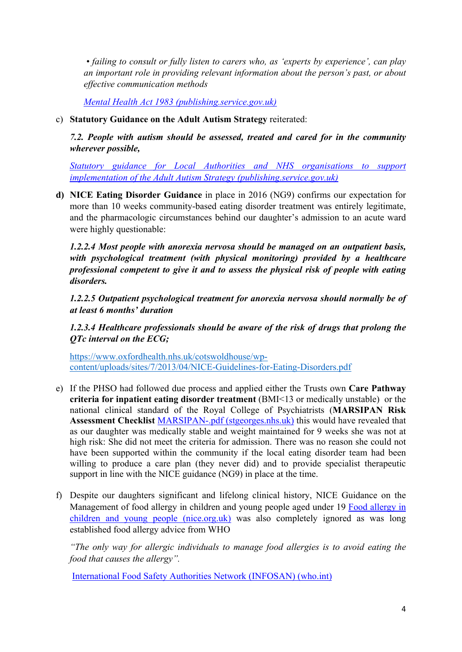*• failing to consult or fully listen to carers who, as 'experts by experience', can play an important role in providing relevant information about the person's past, or about effective communication methods*

*[Mental](https://assets.publishing.service.gov.uk/government/uploads/system/uploads/attachment_data/file/435512/MHA_Code_of_Practice.PDF) [Health](https://assets.publishing.service.gov.uk/government/uploads/system/uploads/attachment_data/file/435512/MHA_Code_of_Practice.PDF) [Act](https://assets.publishing.service.gov.uk/government/uploads/system/uploads/attachment_data/file/435512/MHA_Code_of_Practice.PDF) [1983](https://assets.publishing.service.gov.uk/government/uploads/system/uploads/attachment_data/file/435512/MHA_Code_of_Practice.PDF) [\(publishing.service.gov.uk\)](https://assets.publishing.service.gov.uk/government/uploads/system/uploads/attachment_data/file/435512/MHA_Code_of_Practice.PDF)*

c) **Statutory Guidance on the Adult Autism Strategy** reiterated:

*7.2. People with autism should be assessed, treated and cared for in the community wherever possible,*

*[Statutory](https://assets.publishing.service.gov.uk/government/uploads/system/uploads/attachment_data/file/422338/autism-guidance.pdf) [guidance](https://assets.publishing.service.gov.uk/government/uploads/system/uploads/attachment_data/file/422338/autism-guidance.pdf) [for](https://assets.publishing.service.gov.uk/government/uploads/system/uploads/attachment_data/file/422338/autism-guidance.pdf) [Local](https://assets.publishing.service.gov.uk/government/uploads/system/uploads/attachment_data/file/422338/autism-guidance.pdf) [Authorities](https://assets.publishing.service.gov.uk/government/uploads/system/uploads/attachment_data/file/422338/autism-guidance.pdf) [and](https://assets.publishing.service.gov.uk/government/uploads/system/uploads/attachment_data/file/422338/autism-guidance.pdf) [NHS](https://assets.publishing.service.gov.uk/government/uploads/system/uploads/attachment_data/file/422338/autism-guidance.pdf) [organisations](https://assets.publishing.service.gov.uk/government/uploads/system/uploads/attachment_data/file/422338/autism-guidance.pdf) [to](https://assets.publishing.service.gov.uk/government/uploads/system/uploads/attachment_data/file/422338/autism-guidance.pdf) [support](https://assets.publishing.service.gov.uk/government/uploads/system/uploads/attachment_data/file/422338/autism-guidance.pdf) [implementation](https://assets.publishing.service.gov.uk/government/uploads/system/uploads/attachment_data/file/422338/autism-guidance.pdf) [of](https://assets.publishing.service.gov.uk/government/uploads/system/uploads/attachment_data/file/422338/autism-guidance.pdf) [the](https://assets.publishing.service.gov.uk/government/uploads/system/uploads/attachment_data/file/422338/autism-guidance.pdf) [Adult](https://assets.publishing.service.gov.uk/government/uploads/system/uploads/attachment_data/file/422338/autism-guidance.pdf) [Autism](https://assets.publishing.service.gov.uk/government/uploads/system/uploads/attachment_data/file/422338/autism-guidance.pdf) [Strategy](https://assets.publishing.service.gov.uk/government/uploads/system/uploads/attachment_data/file/422338/autism-guidance.pdf) [\(publishing.service.gov.uk\)](https://assets.publishing.service.gov.uk/government/uploads/system/uploads/attachment_data/file/422338/autism-guidance.pdf)*

**d) NICE Eating Disorder Guidance** in place in 2016 (NG9) confirms our expectation for more than 10 weeks community-based eating disorder treatment was entirely legitimate, and the pharmacologic circumstances behind our daughter's admission to an acute ward were highly questionable:

*1.2.2.4 Most people with anorexia nervosa should be managed on an outpatient basis, with psychological treatment (with physical monitoring) provided by a healthcare professional competent to give it and to assess the physical risk of people with eating disorders.*

*1.2.2.5 Outpatient psychological treatment for anorexia nervosa should normally be of at least 6 months' duration*

*1.2.3.4 Healthcare professionals should be aware of the risk of drugs that prolong the QTc interval on the ECG;*

[https://www.oxfordhealth.nhs.uk/cotswoldhouse/wp](https://www.oxfordhealth.nhs.uk/cotswoldhouse/wp-content/uploads/sites/7/2013/04/NICE-Guidelines-for-Eating-Disorders.pdf)[content/uploads/sites/7/2013/04/NICE-Guidelines-for-Eating-Disorders.pdf](https://www.oxfordhealth.nhs.uk/cotswoldhouse/wp-content/uploads/sites/7/2013/04/NICE-Guidelines-for-Eating-Disorders.pdf)

- e) If the PHSO had followed due process and applied either the Trusts own **Care Pathway criteria for inpatient eating disorder treatment** (BMI<13 or medically unstable) or the national clinical standard of the Royal College of Psychiatrists (**MARSIPAN Risk Assessment Checklist** [MARSIPAN-.pdf](https://www.stgeorges.nhs.uk/wp-content/uploads/2018/03/MARSIPAN-.pdf) [\(stgeorges.nhs.uk\)](https://www.stgeorges.nhs.uk/wp-content/uploads/2018/03/MARSIPAN-.pdf) this would have revealed that as our daughter was medically stable and weight maintained for 9 weeks she was not at high risk: She did not meet the criteria for admission. There was no reason she could not have been supported within the community if the local eating disorder team had been willing to produce a care plan (they never did) and to provide specialist therapeutic support in line with the NICE guidance (NG9) in place at the time.
- f) Despite our daughters significant and lifelong clinical history, NICE Guidance on the Management of food allergy in children and young people aged under 19 [Food](https://www.nice.org.uk/guidance/cg116/evidence/full-guideline-pdf-136470061) [allergy](https://www.nice.org.uk/guidance/cg116/evidence/full-guideline-pdf-136470061) [in](https://www.nice.org.uk/guidance/cg116/evidence/full-guideline-pdf-136470061) [children](https://www.nice.org.uk/guidance/cg116/evidence/full-guideline-pdf-136470061) [and](https://www.nice.org.uk/guidance/cg116/evidence/full-guideline-pdf-136470061) [young](https://www.nice.org.uk/guidance/cg116/evidence/full-guideline-pdf-136470061) [people](https://www.nice.org.uk/guidance/cg116/evidence/full-guideline-pdf-136470061) [\(nice.org.uk\)](https://www.nice.org.uk/guidance/cg116/evidence/full-guideline-pdf-136470061) was also completely ignored as was long established food allergy advice from WHO

*"The only way for allergic individuals to manage food allergies is to avoid eating the food that causes the allergy".*

[International](https://www.who.int/foodsafety/fs_management/No_03_allergy_June06_en.pdf) [Food](https://www.who.int/foodsafety/fs_management/No_03_allergy_June06_en.pdf) [Safety](https://www.who.int/foodsafety/fs_management/No_03_allergy_June06_en.pdf) [Authorities](https://www.who.int/foodsafety/fs_management/No_03_allergy_June06_en.pdf) [Network](https://www.who.int/foodsafety/fs_management/No_03_allergy_June06_en.pdf) [\(INFOSAN\)](https://www.who.int/foodsafety/fs_management/No_03_allergy_June06_en.pdf) [\(who.int\)](https://www.who.int/foodsafety/fs_management/No_03_allergy_June06_en.pdf)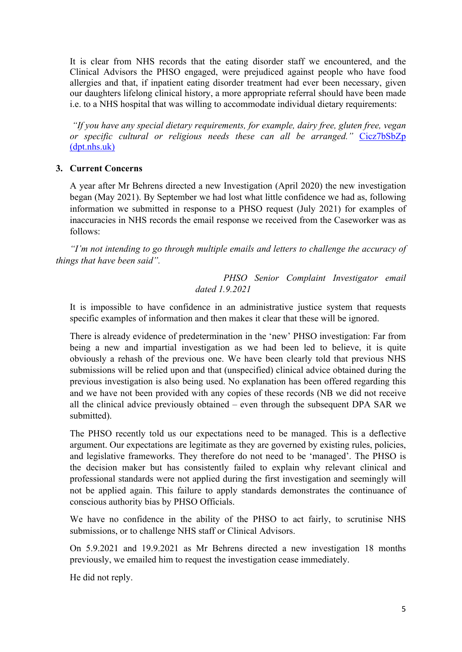It is clear from NHS records that the eating disorder staff we encountered, and the Clinical Advisors the PHSO engaged, were prejudiced against people who have food allergies and that, if inpatient eating disorder treatment had ever been necessary, given our daughters lifelong clinical history, a more appropriate referral should have been made i.e. to a NHS hospital that was willing to accommodate individual dietary requirements:

*"If you have any special dietary requirements, for example, dairy free, gluten free, vegan or specific cultural or religious needs these can all be arranged."* [Cicz7bSbZp](https://www.dpt.nhs.uk/download/Cicz7bSbZp) [\(dpt.nhs.uk\)](https://www.dpt.nhs.uk/download/Cicz7bSbZp)

#### **3. Current Concerns**

A year after Mr Behrens directed a new Investigation (April 2020) the new investigation began (May 2021). By September we had lost what little confidence we had as, following information we submitted in response to a PHSO request (July 2021) for examples of inaccuracies in NHS records the email response we received from the Caseworker was as follows:

*"I'm not intending to go through multiple emails and letters to challenge the accuracy of things that have been said".*

> *PHSO Senior Complaint Investigator email dated 1.9.2021*

It is impossible to have confidence in an administrative justice system that requests specific examples of information and then makes it clear that these will be ignored.

There is already evidence of predetermination in the 'new' PHSO investigation: Far from being a new and impartial investigation as we had been led to believe, it is quite obviously a rehash of the previous one. We have been clearly told that previous NHS submissions will be relied upon and that (unspecified) clinical advice obtained during the previous investigation is also being used. No explanation has been offered regarding this and we have not been provided with any copies of these records (NB we did not receive all the clinical advice previously obtained – even through the subsequent DPA SAR we submitted).

The PHSO recently told us our expectations need to be managed. This is a deflective argument. Our expectations are legitimate as they are governed by existing rules, policies, and legislative frameworks. They therefore do not need to be 'managed'. The PHSO is the decision maker but has consistently failed to explain why relevant clinical and professional standards were not applied during the first investigation and seemingly will not be applied again. This failure to apply standards demonstrates the continuance of conscious authority bias by PHSO Officials.

We have no confidence in the ability of the PHSO to act fairly, to scrutinise NHS submissions, or to challenge NHS staff or Clinical Advisors.

On 5.9.2021 and 19.9.2021 as Mr Behrens directed a new investigation 18 months previously, we emailed him to request the investigation cease immediately.

He did not reply.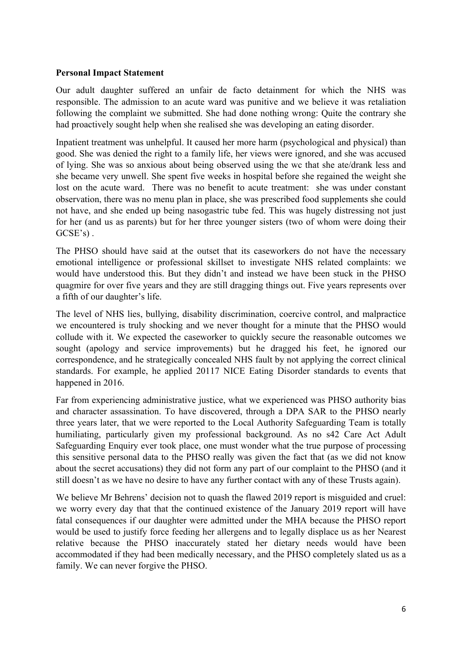#### **Personal Impact Statement**

Our adult daughter suffered an unfair de facto detainment for which the NHS was responsible. The admission to an acute ward was punitive and we believe it was retaliation following the complaint we submitted. She had done nothing wrong: Quite the contrary she had proactively sought help when she realised she was developing an eating disorder.

Inpatient treatment was unhelpful. It caused her more harm (psychological and physical) than good. She was denied the right to a family life, her views were ignored, and she was accused of lying. She was so anxious about being observed using the wc that she ate/drank less and she became very unwell. She spent five weeks in hospital before she regained the weight she lost on the acute ward. There was no benefit to acute treatment: she was under constant observation, there was no menu plan in place, she was prescribed food supplements she could not have, and she ended up being nasogastric tube fed. This was hugely distressing not just for her (and us as parents) but for her three younger sisters (two of whom were doing their GCSE's) .

The PHSO should have said at the outset that its caseworkers do not have the necessary emotional intelligence or professional skillset to investigate NHS related complaints: we would have understood this. But they didn't and instead we have been stuck in the PHSO quagmire for over five years and they are still dragging things out. Five years represents over a fifth of our daughter's life.

The level of NHS lies, bullying, disability discrimination, coercive control, and malpractice we encountered is truly shocking and we never thought for a minute that the PHSO would collude with it. We expected the caseworker to quickly secure the reasonable outcomes we sought (apology and service improvements) but he dragged his feet, he ignored our correspondence, and he strategically concealed NHS fault by not applying the correct clinical standards. For example, he applied 20117 NICE Eating Disorder standards to events that happened in 2016.

Far from experiencing administrative justice, what we experienced was PHSO authority bias and character assassination. To have discovered, through a DPA SAR to the PHSO nearly three years later, that we were reported to the Local Authority Safeguarding Team is totally humiliating, particularly given my professional background. As no s42 Care Act Adult Safeguarding Enquiry ever took place, one must wonder what the true purpose of processing this sensitive personal data to the PHSO really was given the fact that (as we did not know about the secret accusations) they did not form any part of our complaint to the PHSO (and it still doesn't as we have no desire to have any further contact with any of these Trusts again).

We believe Mr Behrens' decision not to quash the flawed 2019 report is misguided and cruel: we worry every day that that the continued existence of the January 2019 report will have fatal consequences if our daughter were admitted under the MHA because the PHSO report would be used to justify force feeding her allergens and to legally displace us as her Nearest relative because the PHSO inaccurately stated her dietary needs would have been accommodated if they had been medically necessary, and the PHSO completely slated us as a family. We can never forgive the PHSO.